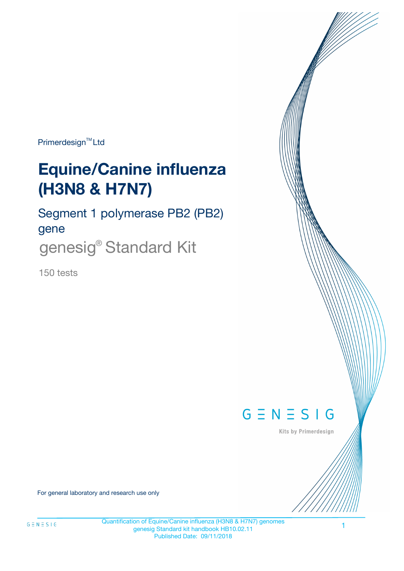Primerdesign<sup>™</sup>Ltd

# **Equine/Canine influenza (H3N8 & H7N7)**

Segment 1 polymerase PB2 (PB2) gene genesig® Standard Kit

150 tests



Kits by Primerdesign

For general laboratory and research use only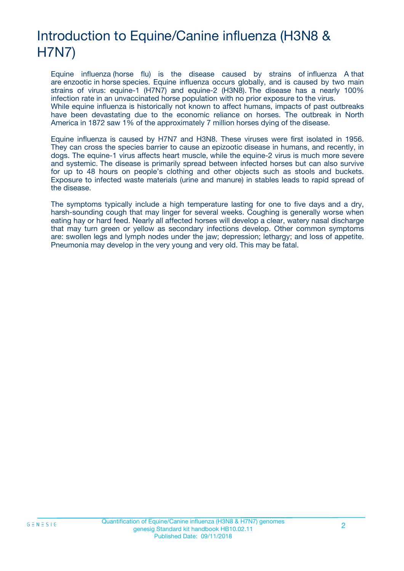# Introduction to Equine/Canine influenza (H3N8 & H7N7)

Equine influenza (horse flu) is the disease caused by strains of influenza A that are enzootic in horse species. Equine influenza occurs globally, and is caused by two main strains of virus: equine-1 (H7N7) and equine-2 (H3N8). The disease has a nearly 100% infection rate in an unvaccinated horse population with no prior exposure to the virus. While equine influenza is historically not known to affect humans, impacts of past outbreaks have been devastating due to the economic reliance on horses. The outbreak in North America in 1872 saw 1% of the approximately 7 million horses dying of the disease.

Equine influenza is caused by H7N7 and H3N8. These viruses were first isolated in 1956. They can cross the species barrier to cause an epizootic disease in humans, and recently, in dogs. The equine-1 virus affects heart muscle, while the equine-2 virus is much more severe and systemic. The disease is primarily spread between infected horses but can also survive for up to 48 hours on people's clothing and other objects such as stools and buckets. Exposure to infected waste materials (urine and manure) in stables leads to rapid spread of the disease.

The symptoms typically include a high temperature lasting for one to five days and a dry, harsh-sounding cough that may linger for several weeks. Coughing is generally worse when eating hay or hard feed. Nearly all affected horses will develop a clear, watery nasal discharge that may turn green or yellow as secondary infections develop. Other common symptoms are: swollen legs and lymph nodes under the jaw; depression; lethargy; and loss of appetite. Pneumonia may develop in the very young and very old. This may be fatal.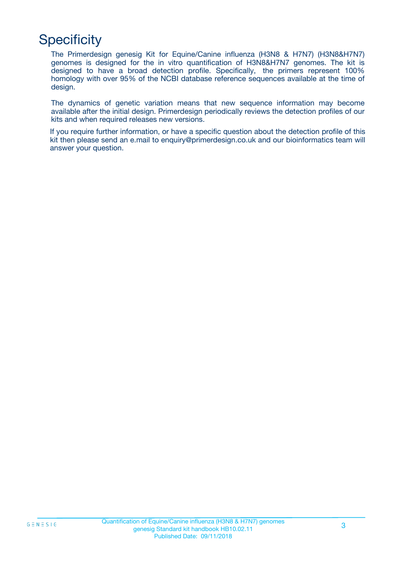# **Specificity**

The Primerdesign genesig Kit for Equine/Canine influenza (H3N8 & H7N7) (H3N8&H7N7) genomes is designed for the in vitro quantification of H3N8&H7N7 genomes. The kit is designed to have a broad detection profile. Specifically, the primers represent 100% homology with over 95% of the NCBI database reference sequences available at the time of design.

The dynamics of genetic variation means that new sequence information may become available after the initial design. Primerdesign periodically reviews the detection profiles of our kits and when required releases new versions.

If you require further information, or have a specific question about the detection profile of this kit then please send an e.mail to enquiry@primerdesign.co.uk and our bioinformatics team will answer your question.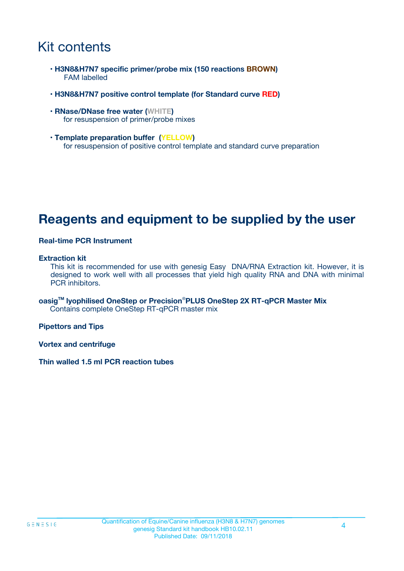# Kit contents

- **H3N8&H7N7 specific primer/probe mix (150 reactions BROWN)** FAM labelled
- **H3N8&H7N7 positive control template (for Standard curve RED)**
- **RNase/DNase free water (WHITE)** for resuspension of primer/probe mixes
- **Template preparation buffer (YELLOW)** for resuspension of positive control template and standard curve preparation

## **Reagents and equipment to be supplied by the user**

#### **Real-time PCR Instrument**

#### **Extraction kit**

This kit is recommended for use with genesig Easy DNA/RNA Extraction kit. However, it is designed to work well with all processes that yield high quality RNA and DNA with minimal PCR inhibitors.

**oasigTM lyophilised OneStep or Precision**®**PLUS OneStep 2X RT-qPCR Master Mix** Contains complete OneStep RT-qPCR master mix

**Pipettors and Tips**

**Vortex and centrifuge**

**Thin walled 1.5 ml PCR reaction tubes**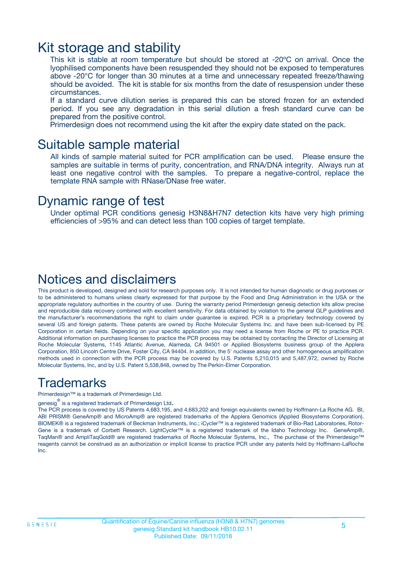### Kit storage and stability

This kit is stable at room temperature but should be stored at -20ºC on arrival. Once the lyophilised components have been resuspended they should not be exposed to temperatures above -20°C for longer than 30 minutes at a time and unnecessary repeated freeze/thawing should be avoided. The kit is stable for six months from the date of resuspension under these circumstances.

If a standard curve dilution series is prepared this can be stored frozen for an extended period. If you see any degradation in this serial dilution a fresh standard curve can be prepared from the positive control.

Primerdesign does not recommend using the kit after the expiry date stated on the pack.

### Suitable sample material

All kinds of sample material suited for PCR amplification can be used. Please ensure the samples are suitable in terms of purity, concentration, and RNA/DNA integrity. Always run at least one negative control with the samples. To prepare a negative-control, replace the template RNA sample with RNase/DNase free water.

### Dynamic range of test

Under optimal PCR conditions genesig H3N8&H7N7 detection kits have very high priming efficiencies of >95% and can detect less than 100 copies of target template.

### Notices and disclaimers

This product is developed, designed and sold for research purposes only. It is not intended for human diagnostic or drug purposes or to be administered to humans unless clearly expressed for that purpose by the Food and Drug Administration in the USA or the appropriate regulatory authorities in the country of use. During the warranty period Primerdesign genesig detection kits allow precise and reproducible data recovery combined with excellent sensitivity. For data obtained by violation to the general GLP guidelines and the manufacturer's recommendations the right to claim under guarantee is expired. PCR is a proprietary technology covered by several US and foreign patents. These patents are owned by Roche Molecular Systems Inc. and have been sub-licensed by PE Corporation in certain fields. Depending on your specific application you may need a license from Roche or PE to practice PCR. Additional information on purchasing licenses to practice the PCR process may be obtained by contacting the Director of Licensing at Roche Molecular Systems, 1145 Atlantic Avenue, Alameda, CA 94501 or Applied Biosystems business group of the Applera Corporation, 850 Lincoln Centre Drive, Foster City, CA 94404. In addition, the 5' nuclease assay and other homogeneous amplification methods used in connection with the PCR process may be covered by U.S. Patents 5,210,015 and 5,487,972, owned by Roche Molecular Systems, Inc, and by U.S. Patent 5,538,848, owned by The Perkin-Elmer Corporation.

### Trademarks

Primerdesign™ is a trademark of Primerdesign Ltd.

genesig $^\circledR$  is a registered trademark of Primerdesign Ltd.

The PCR process is covered by US Patents 4,683,195, and 4,683,202 and foreign equivalents owned by Hoffmann-La Roche AG. BI, ABI PRISM® GeneAmp® and MicroAmp® are registered trademarks of the Applera Genomics (Applied Biosystems Corporation). BIOMEK® is a registered trademark of Beckman Instruments, Inc.; iCycler™ is a registered trademark of Bio-Rad Laboratories, Rotor-Gene is a trademark of Corbett Research. LightCycler™ is a registered trademark of the Idaho Technology Inc. GeneAmp®, TaqMan® and AmpliTaqGold® are registered trademarks of Roche Molecular Systems, Inc., The purchase of the Primerdesign™ reagents cannot be construed as an authorization or implicit license to practice PCR under any patents held by Hoffmann-LaRoche Inc.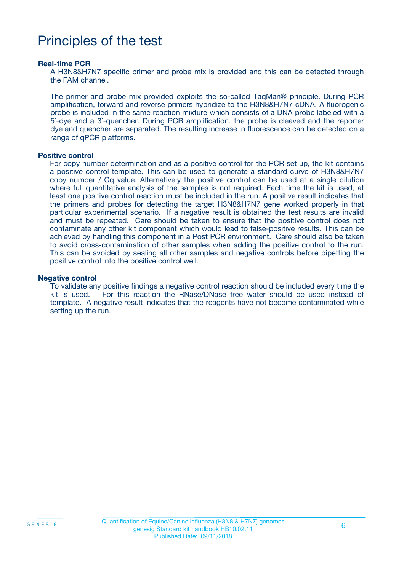# Principles of the test

#### **Real-time PCR**

A H3N8&H7N7 specific primer and probe mix is provided and this can be detected through the FAM channel.

The primer and probe mix provided exploits the so-called TaqMan® principle. During PCR amplification, forward and reverse primers hybridize to the H3N8&H7N7 cDNA. A fluorogenic probe is included in the same reaction mixture which consists of a DNA probe labeled with a 5`-dye and a 3`-quencher. During PCR amplification, the probe is cleaved and the reporter dye and quencher are separated. The resulting increase in fluorescence can be detected on a range of qPCR platforms.

#### **Positive control**

For copy number determination and as a positive control for the PCR set up, the kit contains a positive control template. This can be used to generate a standard curve of H3N8&H7N7 copy number / Cq value. Alternatively the positive control can be used at a single dilution where full quantitative analysis of the samples is not required. Each time the kit is used, at least one positive control reaction must be included in the run. A positive result indicates that the primers and probes for detecting the target H3N8&H7N7 gene worked properly in that particular experimental scenario. If a negative result is obtained the test results are invalid and must be repeated. Care should be taken to ensure that the positive control does not contaminate any other kit component which would lead to false-positive results. This can be achieved by handling this component in a Post PCR environment. Care should also be taken to avoid cross-contamination of other samples when adding the positive control to the run. This can be avoided by sealing all other samples and negative controls before pipetting the positive control into the positive control well.

#### **Negative control**

To validate any positive findings a negative control reaction should be included every time the kit is used. For this reaction the RNase/DNase free water should be used instead of template. A negative result indicates that the reagents have not become contaminated while setting up the run.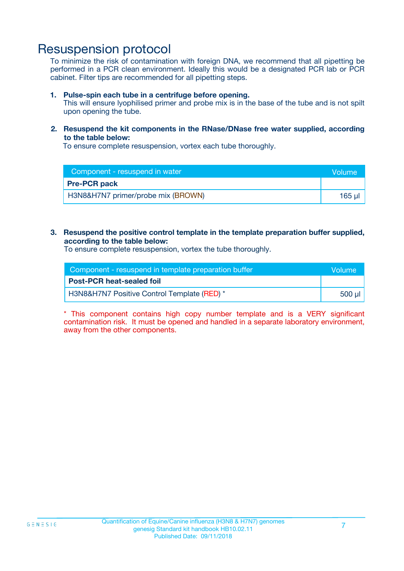### Resuspension protocol

To minimize the risk of contamination with foreign DNA, we recommend that all pipetting be performed in a PCR clean environment. Ideally this would be a designated PCR lab or PCR cabinet. Filter tips are recommended for all pipetting steps.

#### **1. Pulse-spin each tube in a centrifuge before opening.**

This will ensure lyophilised primer and probe mix is in the base of the tube and is not spilt upon opening the tube.

#### **2. Resuspend the kit components in the RNase/DNase free water supplied, according to the table below:**

To ensure complete resuspension, vortex each tube thoroughly.

| Component - resuspend in water     |        |  |
|------------------------------------|--------|--|
| <b>Pre-PCR pack</b>                |        |  |
| H3N8&H7N7 primer/probe mix (BROWN) | 165 ul |  |

#### **3. Resuspend the positive control template in the template preparation buffer supplied, according to the table below:**

To ensure complete resuspension, vortex the tube thoroughly.

| Component - resuspend in template preparation buffer   |         |  |
|--------------------------------------------------------|---------|--|
| <b>Post-PCR heat-sealed foil</b>                       |         |  |
| <b>H3N8&amp;H7N7 Positive Control Template (RED)</b> * | .500 ul |  |

\* This component contains high copy number template and is a VERY significant contamination risk. It must be opened and handled in a separate laboratory environment, away from the other components.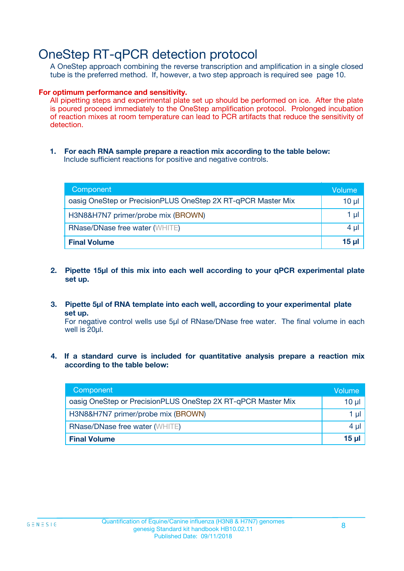## OneStep RT-qPCR detection protocol

A OneStep approach combining the reverse transcription and amplification in a single closed tube is the preferred method. If, however, a two step approach is required see page 10.

#### **For optimum performance and sensitivity.**

All pipetting steps and experimental plate set up should be performed on ice. After the plate is poured proceed immediately to the OneStep amplification protocol. Prolonged incubation of reaction mixes at room temperature can lead to PCR artifacts that reduce the sensitivity of detection.

**1. For each RNA sample prepare a reaction mix according to the table below:** Include sufficient reactions for positive and negative controls.

| Component                                                    | Volume   |
|--------------------------------------------------------------|----------|
| oasig OneStep or PrecisionPLUS OneStep 2X RT-qPCR Master Mix | $10 \mu$ |
| H3N8&H7N7 primer/probe mix (BROWN)                           | 1 µl     |
| <b>RNase/DNase free water (WHITE)</b>                        | $4 \mu$  |
| <b>Final Volume</b>                                          | $15$ µ   |

- **2. Pipette 15µl of this mix into each well according to your qPCR experimental plate set up.**
- **3. Pipette 5µl of RNA template into each well, according to your experimental plate set up.**

For negative control wells use 5µl of RNase/DNase free water. The final volume in each well is 20ul.

**4. If a standard curve is included for quantitative analysis prepare a reaction mix according to the table below:**

| Component                                                    | Volume   |
|--------------------------------------------------------------|----------|
| oasig OneStep or PrecisionPLUS OneStep 2X RT-qPCR Master Mix | $10 \mu$ |
| H3N8&H7N7 primer/probe mix (BROWN)                           | 1 µI     |
| <b>RNase/DNase free water (WHITE)</b>                        | 4 µl     |
| <b>Final Volume</b>                                          | 15 ul    |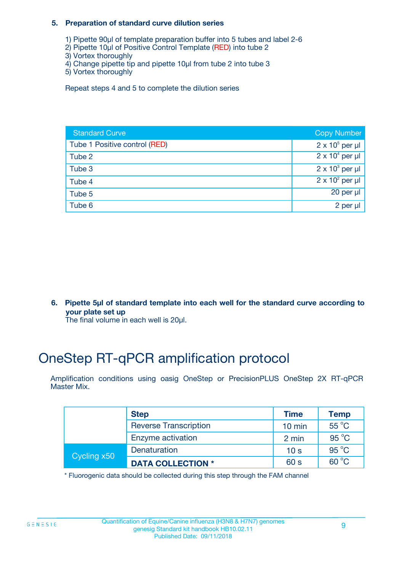#### **5. Preparation of standard curve dilution series**

- 1) Pipette 90µl of template preparation buffer into 5 tubes and label 2-6
- 2) Pipette 10µl of Positive Control Template (RED) into tube 2
- 3) Vortex thoroughly
- 4) Change pipette tip and pipette 10µl from tube 2 into tube 3
- 5) Vortex thoroughly

Repeat steps 4 and 5 to complete the dilution series

| <b>Standard Curve</b>         | <b>Copy Number</b>     |
|-------------------------------|------------------------|
| Tube 1 Positive control (RED) | $2 \times 10^5$ per µl |
| Tube 2                        | $2 \times 10^4$ per µl |
| Tube 3                        | $2 \times 10^3$ per µl |
| Tube 4                        | $2 \times 10^2$ per µl |
| Tube 5                        | 20 per $\mu$           |
| Tube 6                        | 2 per µl               |

**6. Pipette 5µl of standard template into each well for the standard curve according to your plate set up**

The final volume in each well is 20ul.

# OneStep RT-qPCR amplification protocol

Amplification conditions using oasig OneStep or PrecisionPLUS OneStep 2X RT-qPCR Master Mix.

|             | <b>Step</b>                  | <b>Time</b>      | <b>Temp</b>    |
|-------------|------------------------------|------------------|----------------|
|             | <b>Reverse Transcription</b> | $10 \text{ min}$ | 55 °C          |
|             | Enzyme activation            | 2 min            | $95^{\circ}$ C |
| Cycling x50 | Denaturation                 | 10 <sub>s</sub>  | $95^{\circ}$ C |
|             | <b>DATA COLLECTION *</b>     | 60 s             | $60^{\circ}$ C |

\* Fluorogenic data should be collected during this step through the FAM channel